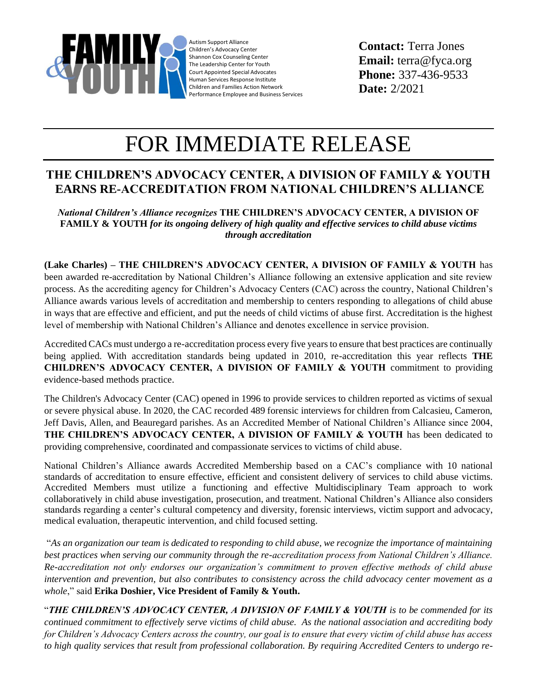

Autism Support Alliance Children's Advocacy Center Shannon Cox Counseling Center The Leadership Center for Youth Court Appointed Special Advocates Human Services Response Institute Children and Families Action Network Performance Employee and Business Services

**Contact:** Terra Jones **Email:** terra@fyca.org **Phone:** 337-436-9533 **Date:** 2/2021

## FOR IMMEDIATE RELEASE

## **THE CHILDREN'S ADVOCACY CENTER, A DIVISION OF FAMILY & YOUTH EARNS RE-ACCREDITATION FROM NATIONAL CHILDREN'S ALLIANCE**

*National Children's Alliance recognizes* **THE CHILDREN'S ADVOCACY CENTER, A DIVISION OF FAMILY & YOUTH** *for its ongoing delivery of high quality and effective services to child abuse victims through accreditation*

**(Lake Charles) – THE CHILDREN'S ADVOCACY CENTER, A DIVISION OF FAMILY & YOUTH** has been awarded re-accreditation by National Children's Alliance following an extensive application and site review process. As the accrediting agency for Children's Advocacy Centers (CAC) across the country, National Children's Alliance awards various levels of accreditation and membership to centers responding to allegations of child abuse in ways that are effective and efficient, and put the needs of child victims of abuse first. Accreditation is the highest level of membership with National Children's Alliance and denotes excellence in service provision.

Accredited CACs must undergo a re-accreditation process every five years to ensure that best practices are continually being applied. With accreditation standards being updated in 2010, re-accreditation this year reflects **THE CHILDREN'S ADVOCACY CENTER, A DIVISION OF FAMILY & YOUTH** commitment to providing evidence-based methods practice.

The Children's Advocacy Center (CAC) opened in 1996 to provide services to children reported as victims of sexual or severe physical abuse. In 2020, the CAC recorded 489 forensic interviews for children from Calcasieu, Cameron, Jeff Davis, Allen, and Beauregard parishes. As an Accredited Member of National Children's Alliance since 2004, **THE CHILDREN'S ADVOCACY CENTER, A DIVISION OF FAMILY & YOUTH** has been dedicated to providing comprehensive, coordinated and compassionate services to victims of child abuse.

National Children's Alliance awards Accredited Membership based on a CAC's compliance with 10 national standards of accreditation to ensure effective, efficient and consistent delivery of services to child abuse victims. Accredited Members must utilize a functioning and effective Multidisciplinary Team approach to work collaboratively in child abuse investigation, prosecution, and treatment. National Children's Alliance also considers standards regarding a center's cultural competency and diversity, forensic interviews, victim support and advocacy, medical evaluation, therapeutic intervention, and child focused setting.

"*As an organization our team is dedicated to responding to child abuse, we recognize the importance of maintaining*  best practices when serving our community through the re-accreditation process from National Children's Alliance. *Re-accreditation not only endorses our organization's commitment to proven effective methods of child abuse intervention and prevention, but also contributes to consistency across the child advocacy center movement as a whole*," said **Erika Doshier, Vice President of Family & Youth.**

"*THE CHILDREN'S ADVOCACY CENTER, A DIVISION OF FAMILY & YOUTH is to be commended for its continued commitment to effectively serve victims of child abuse. As the national association and accrediting body for Children's Advocacy Centers across the country, our goal is to ensure that every victim of child abuse has access to high quality services that result from professional collaboration. By requiring Accredited Centers to undergo re-*